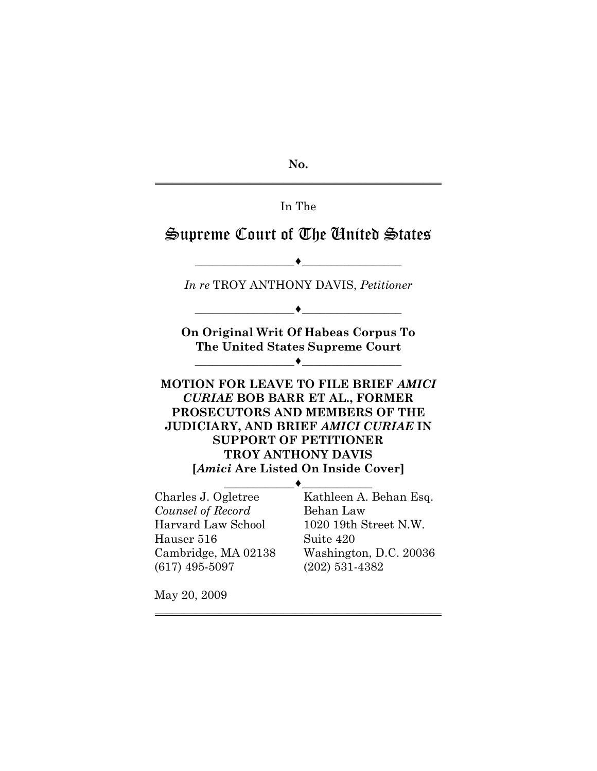**No.** \_\_\_\_\_\_\_\_\_\_\_\_\_\_\_\_\_\_\_\_\_\_\_\_\_\_\_\_\_\_\_\_\_\_\_\_\_\_\_\_\_\_\_\_\_\_\_\_\_

# In The

# Supreme Court of The United States

 $\overbrace{\hspace{15em}}$  , and the set of the set of the set of the set of the set of the set of the set of the set of the set of the set of the set of the set of the set of the set of the set of the set of the set of the set of the *In re* TROY ANTHONY DAVIS, *Petitioner*  $\overbrace{\hspace{15em}}$  , and the set of the set of the set of the set of the set of the set of the set of the set of the set of the set of the set of the set of the set of the set of the set of the set of the set of the set of the **On Original Writ Of Habeas Corpus To The United States Supreme Court**  $\overbrace{\hspace{15em}}$  , and the set of the set of the set of the set of the set of the set of the set of the set of the set of the set of the set of the set of the set of the set of the set of the set of the set of the set of the **MOTION FOR LEAVE TO FILE BRIEF** *AMICI CURIAE* **BOB BARR ET AL., FORMER PROSECUTORS AND MEMBERS OF THE JUDICIARY, AND BRIEF** *AMICI CURIAE* **IN SUPPORT OF PETITIONER TROY ANTHONY DAVIS [***Amici* **Are Listed On Inside Cover]**  $\longrightarrow$ Charles J. Ogletree *Counsel of Record* Harvard Law School Hauser 516 Cambridge, MA 02138 (617) 495-5097 Kathleen A. Behan Esq. Behan Law 1020 19th Street N.W. Suite 420 Washington, D.C. 20036 (202) 531-4382

 $\overline{\phantom{a}}$  , and the set of the set of the set of the set of the set of the set of the set of the set of the set of the set of the set of the set of the set of the set of the set of the set of the set of the set of the s

May 20, 2009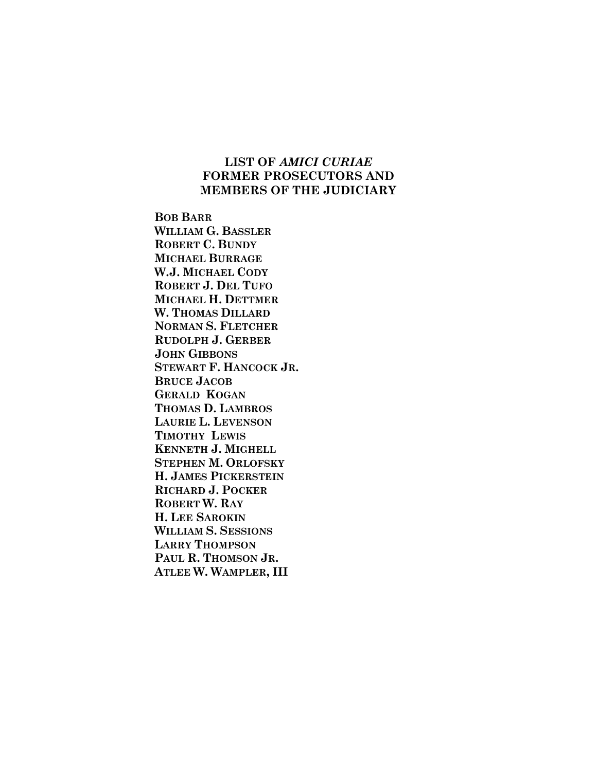# **LIST OF** *AMICI CURIAE* **FORMER PROSECUTORS AND MEMBERS OF THE JUDICIARY**

**BOB BARR WILLIAM G. BASSLER ROBERT C. BUNDY MICHAEL BURRAGE W.J. MICHAEL CODY ROBERT J. DEL TUFO MICHAEL H. DETTMER W. THOMAS DILLARD NORMAN S. FLETCHER RUDOLPH J. GERBER JOHN GIBBONS STEWART F. HANCOCK JR. BRUCE JACOB GERALD KOGAN THOMAS D. LAMBROS LAURIE L. LEVENSON TIMOTHY LEWIS KENNETH J. MIGHELL STEPHEN M. ORLOFSKY H. JAMES PICKERSTEIN RICHARD J. POCKER ROBERT W. RAY H. LEE SAROKIN WILLIAM S. SESSIONS LARRY THOMPSON PAUL R. THOMSON JR. ATLEE W. WAMPLER, III**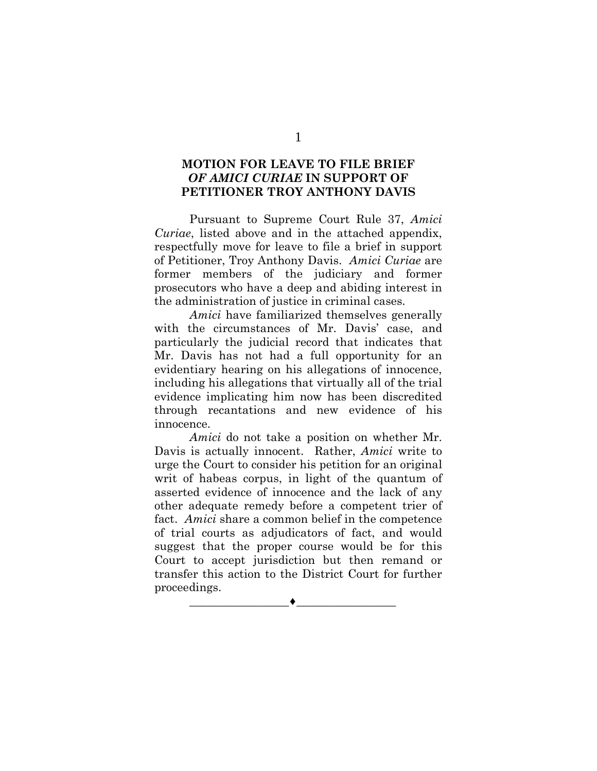# **MOTION FOR LEAVE TO FILE BRIEF**  *OF AMICI CURIAE* **IN SUPPORT OF PETITIONER TROY ANTHONY DAVIS**

Pursuant to Supreme Court Rule 37, *Amici Curiae*, listed above and in the attached appendix, respectfully move for leave to file a brief in support of Petitioner, Troy Anthony Davis. *Amici Curiae* are former members of the judiciary and former prosecutors who have a deep and abiding interest in the administration of justice in criminal cases.

*Amici* have familiarized themselves generally with the circumstances of Mr. Davis' case, and particularly the judicial record that indicates that Mr. Davis has not had a full opportunity for an evidentiary hearing on his allegations of innocence, including his allegations that virtually all of the trial evidence implicating him now has been discredited through recantations and new evidence of his innocence.

*Amici* do not take a position on whether Mr. Davis is actually innocent. Rather, *Amici* write to urge the Court to consider his petition for an original writ of habeas corpus, in light of the quantum of asserted evidence of innocence and the lack of any other adequate remedy before a competent trier of fact. *Amici* share a common belief in the competence of trial courts as adjudicators of fact, and would suggest that the proper course would be for this Court to accept jurisdiction but then remand or transfer this action to the District Court for further proceedings.

 $\overbrace{\hspace{15em}}$  , and the set of the set of the set of the set of the set of the set of the set of the set of the set of the set of the set of the set of the set of the set of the set of the set of the set of the set of the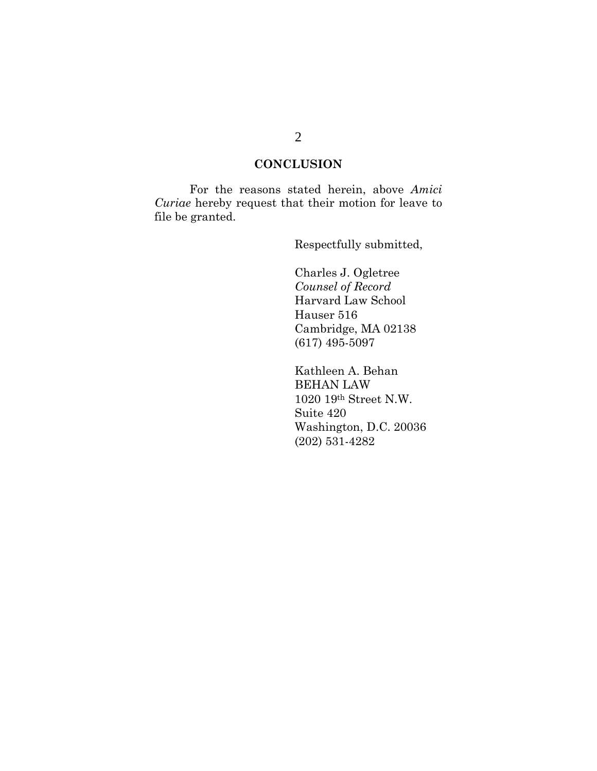# **CONCLUSION**

For the reasons stated herein, above *Amici Curiae* hereby request that their motion for leave to file be granted.

Respectfully submitted,

Charles J. Ogletree *Counsel of Record* Harvard Law School Hauser 516 Cambridge, MA 02138 (617) 495-5097

Kathleen A. Behan BEHAN LAW 1020 19th Street N.W. Suite 420 Washington, D.C. 20036 (202) 531-4282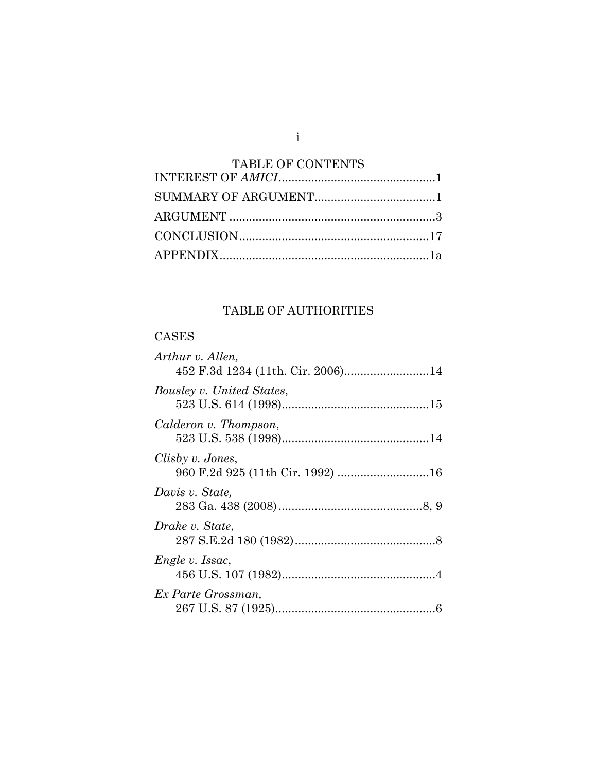| <b>TABLE OF CONTENTS</b> |  |
|--------------------------|--|
|                          |  |
|                          |  |
|                          |  |
|                          |  |
|                          |  |

i

# TABLE OF AUTHORITIES

# CASES

| Arthur v. Allen,                  |  |
|-----------------------------------|--|
| 452 F.3d 1234 (11th. Cir. 2006)14 |  |
| Bousley v. United States,         |  |
| Calderon v. Thompson,             |  |
| Clisby v. Jones,                  |  |
| Davis v. State,                   |  |
| Drake v. State,                   |  |
| Engle v. Issac,                   |  |
| Ex Parte Grossman,                |  |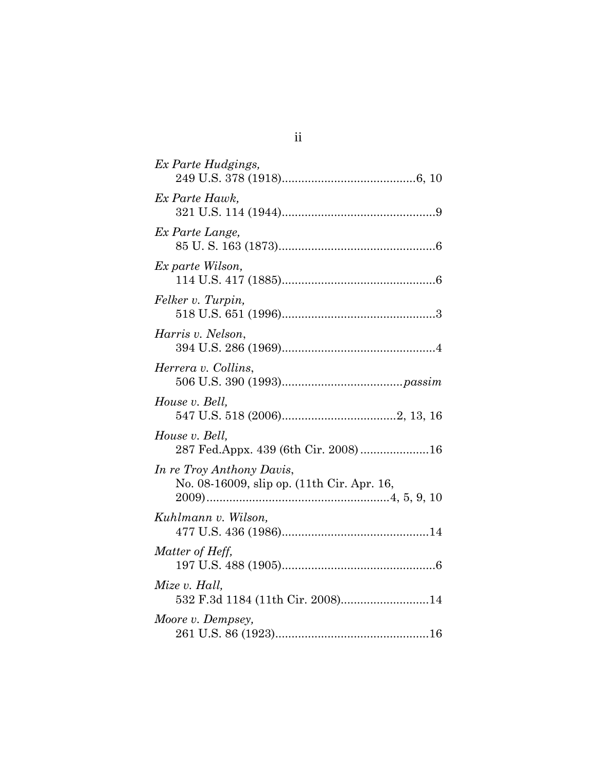| Ex Parte Hudgings,                                                      |
|-------------------------------------------------------------------------|
| Ex Parte Hawk,                                                          |
| Ex Parte Lange,                                                         |
| Ex parte Wilson,                                                        |
| Felker v. Turpin,                                                       |
| Harris v. Nelson,                                                       |
| Herrera v. Collins,                                                     |
| House v. Bell,                                                          |
| House v. Bell,<br>287 Fed.Appx. 439 (6th Cir. 2008)16                   |
| In re Troy Anthony Davis,<br>No. 08-16009, slip op. (11th Cir. Apr. 16, |
| Kuhlmann v. Wilson,                                                     |
| Matter of Heff,                                                         |
| Mize v. Hall,<br>532 F.3d 1184 (11th Cir. 2008)14                       |
| Moore v. Dempsey,                                                       |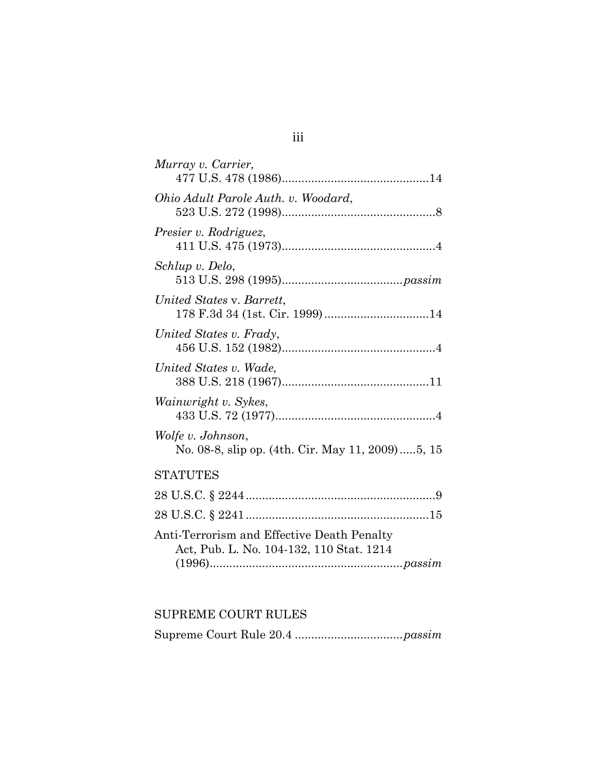| Murray v. Carrier,                                                                     |
|----------------------------------------------------------------------------------------|
| Ohio Adult Parole Auth. v. Woodard,                                                    |
| Presier v. Rodriguez,                                                                  |
| Schlup v. Delo,                                                                        |
| United States v. Barrett,                                                              |
| United States v. Frady,                                                                |
| United States v. Wade,                                                                 |
| Wainwright v. Sykes,                                                                   |
| Wolfe v. Johnson,<br>No. 08-8, slip op. (4th. Cir. May 11, 2009)5, 15                  |
| <b>STATUTES</b>                                                                        |
|                                                                                        |
|                                                                                        |
| Anti-Terrorism and Effective Death Penalty<br>Act, Pub. L. No. 104-132, 110 Stat. 1214 |

# SUPREME COURT RULES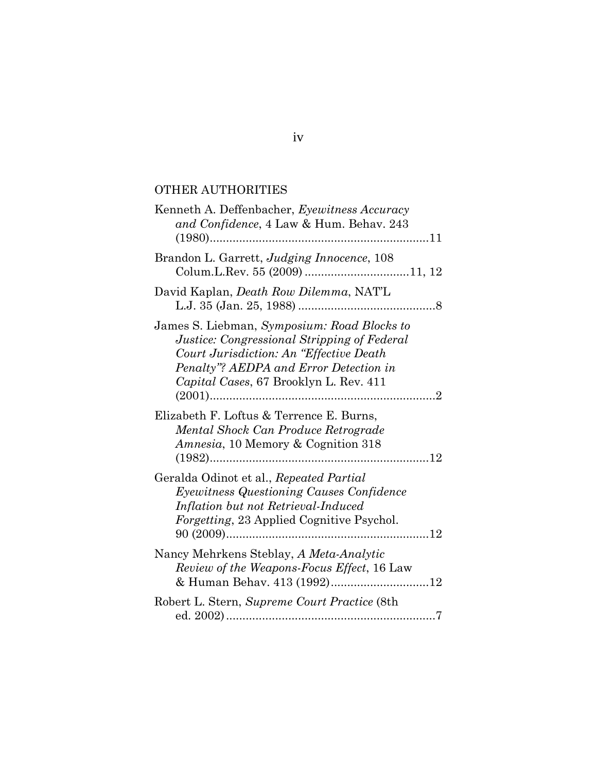# OTHER AUTHORITIES

| Kenneth A. Deffenbacher, Eyewitness Accuracy<br>and Confidence, 4 Law & Hum. Behav. 243                                                                                                                                   |
|---------------------------------------------------------------------------------------------------------------------------------------------------------------------------------------------------------------------------|
|                                                                                                                                                                                                                           |
| Brandon L. Garrett, Judging Innocence, 108                                                                                                                                                                                |
| David Kaplan, <i>Death Row Dilemma</i> , NAT'L                                                                                                                                                                            |
| James S. Liebman, Symposium: Road Blocks to<br>Justice: Congressional Stripping of Federal<br>Court Jurisdiction: An "Effective Death<br>Penalty"? AEDPA and Error Detection in<br>Capital Cases, 67 Brooklyn L. Rev. 411 |
| Elizabeth F. Loftus & Terrence E. Burns,<br>Mental Shock Can Produce Retrograde<br><i>Amnesia</i> , 10 Memory & Cognition 318                                                                                             |
| Geralda Odinot et al., Repeated Partial<br>Eyewitness Questioning Causes Confidence<br>Inflation but not Retrieval-Induced<br><i>Forgetting</i> , 23 Applied Cognitive Psychol.                                           |
| Nancy Mehrkens Steblay, A Meta-Analytic<br>Review of the Weapons-Focus Effect, 16 Law                                                                                                                                     |
| Robert L. Stern, Supreme Court Practice (8th                                                                                                                                                                              |

iv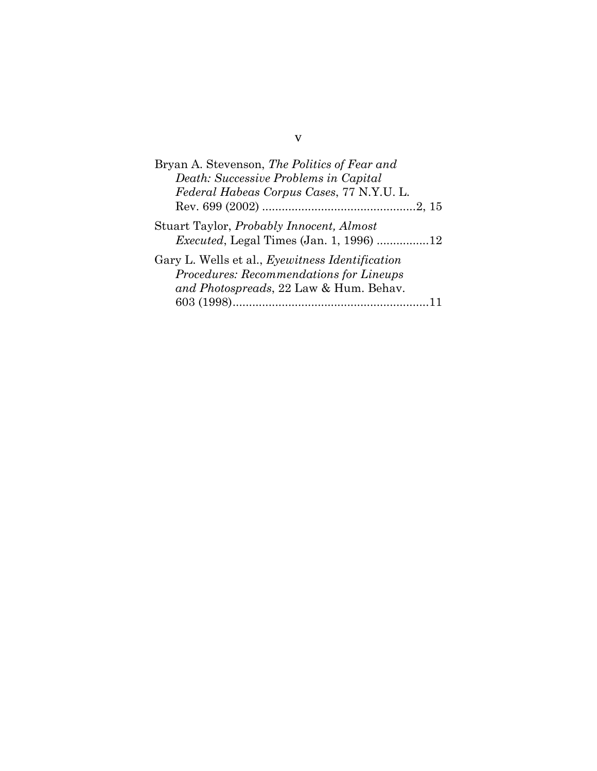| Bryan A. Stevenson, The Politics of Fear and            |
|---------------------------------------------------------|
| Death: Successive Problems in Capital                   |
| Federal Habeas Corpus Cases, 77 N.Y.U. L.               |
|                                                         |
| Stuart Taylor, <i>Probably Innocent</i> , <i>Almost</i> |
| <i>Executed</i> , Legal Times (Jan. 1, 1996) 12         |
| Gary L. Wells et al., Eyewitness Identification         |
| Procedures: Recommendations for Lineups                 |
| and Photospreads, 22 Law & Hum. Behav.                  |
|                                                         |

v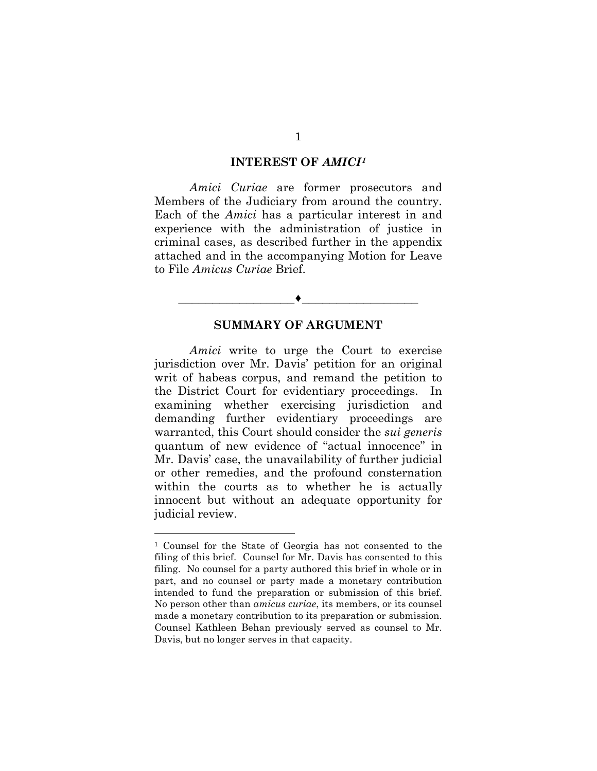#### **INTEREST OF** *AMICI[1](#page-9-0)*

*Amici Curiae* are former prosecutors and Members of the Judiciary from around the country. Each of the *Amici* has a particular interest in and experience with the administration of justice in criminal cases, as described further in the appendix attached and in the accompanying Motion for Leave to File *Amicus Curiae* Brief.

#### **SUMMARY OF ARGUMENT**

\_\_\_\_\_\_\_\_\_\_\_\_\_\_\_\_\_♦\_\_\_\_\_\_\_\_\_\_\_\_\_\_\_\_\_

*Amici* write to urge the Court to exercise jurisdiction over Mr. Davis' petition for an original writ of habeas corpus, and remand the petition to the District Court for evidentiary proceedings. In examining whether exercising jurisdiction and demanding further evidentiary proceedings are warranted, this Court should consider the *sui generis* quantum of new evidence of "actual innocence" in Mr. Davis' case, the unavailability of further judicial or other remedies, and the profound consternation within the courts as to whether he is actually innocent but without an adequate opportunity for judicial review.

<span id="page-9-0"></span><sup>1</sup> Counsel for the State of Georgia has not consented to the filing of this brief. Counsel for Mr. Davis has consented to this filing. No counsel for a party authored this brief in whole or in part, and no counsel or party made a monetary contribution intended to fund the preparation or submission of this brief. No person other than *amicus curiae*, its members, or its counsel made a monetary contribution to its preparation or submission. Counsel Kathleen Behan previously served as counsel to Mr. Davis, but no longer serves in that capacity.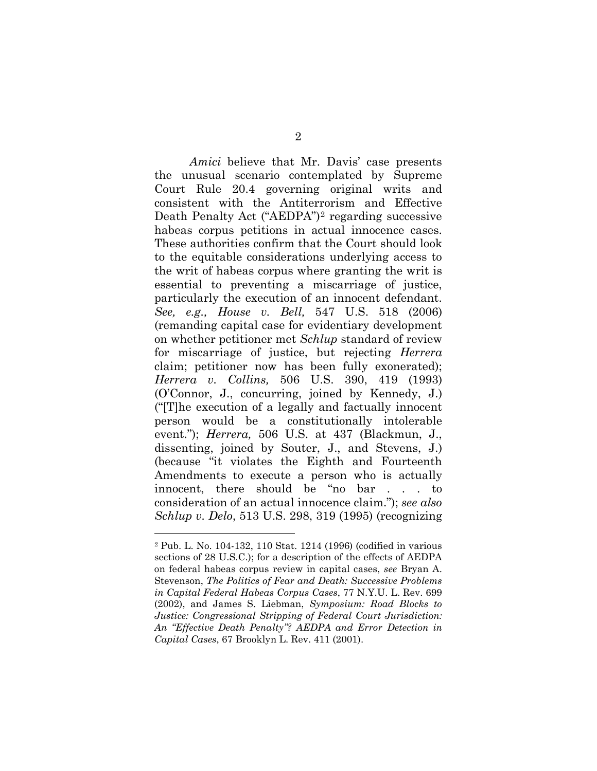*Amici* believe that Mr. Davis' case presents the unusual scenario contemplated by Supreme Court Rule 20.4 governing original writs and consistent with the Antiterrorism and Effective Death Penalty Act ("AEDPA")[2](#page-10-0) regarding successive habeas corpus petitions in actual innocence cases. These authorities confirm that the Court should look to the equitable considerations underlying access to the writ of habeas corpus where granting the writ is essential to preventing a miscarriage of justice, particularly the execution of an innocent defendant. *See, e.g., House v. Bell,* 547 U.S. 518 (2006) (remanding capital case for evidentiary development on whether petitioner met *Schlup* standard of review for miscarriage of justice, but rejecting *Herrera* claim; petitioner now has been fully exonerated); *Herrera v. Collins,* 506 U.S. 390, 419 (1993) (O'Connor, J., concurring, joined by Kennedy, J.) ("[T]he execution of a legally and factually innocent person would be a constitutionally intolerable event."); *Herrera,* 506 U.S. at 437 (Blackmun, J., dissenting, joined by Souter, J., and Stevens, J.) (because "it violates the Eighth and Fourteenth Amendments to execute a person who is actually innocent, there should be "no bar . . . to consideration of an actual innocence claim."); *see also Schlup v. Delo*, 513 U.S. 298, 319 (1995) (recognizing

<span id="page-10-0"></span><sup>2</sup> Pub. L. No. 104-132, 110 Stat. 1214 (1996) (codified in various sections of 28 U.S.C.); for a description of the effects of AEDPA on federal habeas corpus review in capital cases, *see* Bryan A. Stevenson, *The Politics of Fear and Death: Successive Problems in Capital Federal Habeas Corpus Cases*, 77 N.Y.U. L. Rev. 699 (2002), and James S. Liebman, *Symposium: Road Blocks to Justice: Congressional Stripping of Federal Court Jurisdiction: An "Effective Death Penalty"? AEDPA and Error Detection in Capital Cases*, 67 Brooklyn L. Rev. 411 (2001).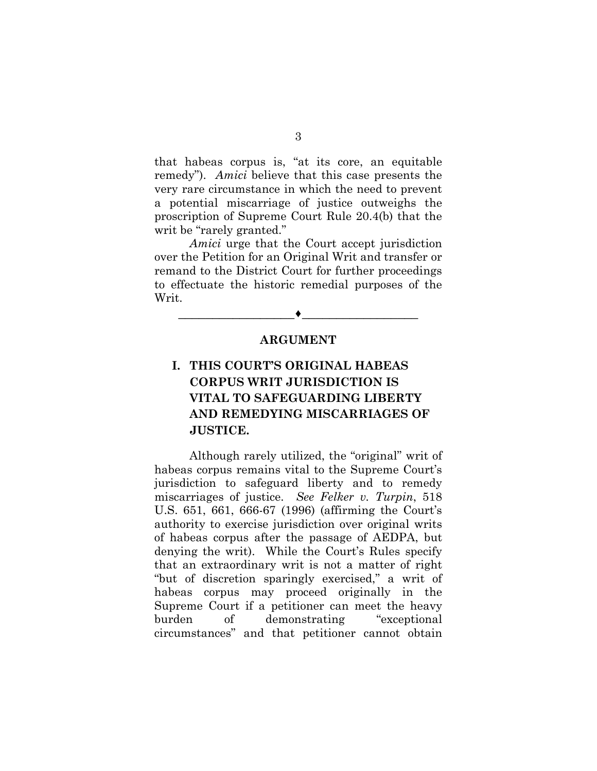that habeas corpus is, "at its core, an equitable remedy"). *Amici* believe that this case presents the very rare circumstance in which the need to prevent a potential miscarriage of justice outweighs the proscription of Supreme Court Rule 20.4(b) that the writ be "rarely granted."

*Amici* urge that the Court accept jurisdiction over the Petition for an Original Writ and transfer or remand to the District Court for further proceedings to effectuate the historic remedial purposes of the Writ.

### **ARGUMENT**

\_\_\_\_\_\_\_\_\_\_\_\_\_\_\_\_\_♦\_\_\_\_\_\_\_\_\_\_\_\_\_\_\_\_\_

# **I. THIS COURT'S ORIGINAL HABEAS CORPUS WRIT JURISDICTION IS VITAL TO SAFEGUARDING LIBERTY AND REMEDYING MISCARRIAGES OF JUSTICE.**

Although rarely utilized, the "original" writ of habeas corpus remains vital to the Supreme Court's jurisdiction to safeguard liberty and to remedy miscarriages of justice. *See Felker v. Turpin*, 518 U.S. 651, 661, 666-67 (1996) (affirming the Court's authority to exercise jurisdiction over original writs of habeas corpus after the passage of AEDPA, but denying the writ). While the Court's Rules specify that an extraordinary writ is not a matter of right "but of discretion sparingly exercised," a writ of habeas corpus may proceed originally in the Supreme Court if a petitioner can meet the heavy burden of demonstrating "exceptional circumstances" and that petitioner cannot obtain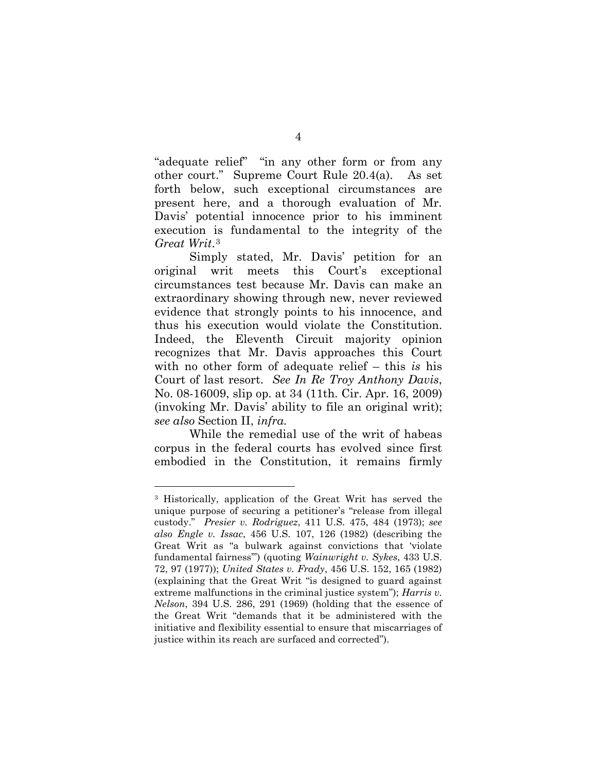"adequate relief" "in any other form or from any other court." Supreme Court Rule 20.4(a). As set forth below, such exceptional circumstances are present here, and a thorough evaluation of Mr. Davis' potential innocence prior to his imminent execution is fundamental to the integrity of the *Great Writ*.[3](#page-12-0)

Simply stated, Mr. Davis' petition for an original writ meets this Court's exceptional circumstances test because Mr. Davis can make an extraordinary showing through new, never reviewed evidence that strongly points to his innocence, and thus his execution would violate the Constitution. Indeed, the Eleventh Circuit majority opinion recognizes that Mr. Davis approaches this Court with no other form of adequate relief – this *is* his Court of last resort. *See In Re Troy Anthony Davis*, No. 08-16009, slip op. at 34 (11th. Cir. Apr. 16, 2009) (invoking Mr. Davis' ability to file an original writ); *see also* Section II, *infra.* 

While the remedial use of the writ of habeas corpus in the federal courts has evolved since first embodied in the Constitution, it remains firmly

<span id="page-12-0"></span><sup>3</sup> Historically, application of the Great Writ has served the unique purpose of securing a petitioner's "release from illegal custody." *Presier v. Rodriguez*, 411 U.S. 475, 484 (1973); *see also Engle v. Issac*, 456 U.S. 107, 126 (1982) (describing the Great Writ as "a bulwark against convictions that 'violate fundamental fairness'") (quoting *Wainwright v. Sykes*, 433 U.S. 72, 97 (1977)); *United States v. Frady*, 456 U.S. 152, 165 (1982) (explaining that the Great Writ "is designed to guard against extreme malfunctions in the criminal justice system"); *Harris v. Nelson*, 394 U.S. 286, 291 (1969) (holding that the essence of the Great Writ "demands that it be administered with the initiative and flexibility essential to ensure that miscarriages of justice within its reach are surfaced and corrected").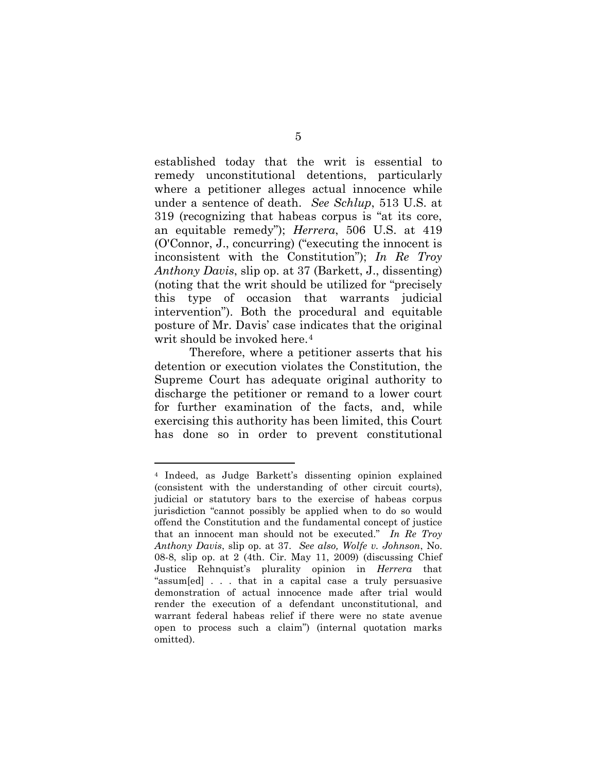established today that the writ is essential to remedy unconstitutional detentions, particularly where a petitioner alleges actual innocence while under a sentence of death. *See Schlup*, 513 U.S. at 319 (recognizing that habeas corpus is "at its core, an equitable remedy"); *Herrera*, 506 U.S. at 419 (O'Connor, J., concurring) ("executing the innocent is inconsistent with the Constitution"); *In Re Troy Anthony Davis*, slip op. at 37 (Barkett, J., dissenting) (noting that the writ should be utilized for "precisely this type of occasion that warrants judicial intervention"). Both the procedural and equitable posture of Mr. Davis' case indicates that the original writ should be invoked here.<sup>[4](#page-13-0)</sup>

Therefore, where a petitioner asserts that his detention or execution violates the Constitution, the Supreme Court has adequate original authority to discharge the petitioner or remand to a lower court for further examination of the facts, and, while exercising this authority has been limited, this Court has done so in order to prevent constitutional

<span id="page-13-0"></span><sup>4</sup> Indeed, as Judge Barkett's dissenting opinion explained (consistent with the understanding of other circuit courts), judicial or statutory bars to the exercise of habeas corpus jurisdiction "cannot possibly be applied when to do so would offend the Constitution and the fundamental concept of justice that an innocent man should not be executed." *In Re Troy Anthony Davis*, slip op. at 37. *See also, Wolfe v. Johnson*, No. 08-8, slip op. at 2 (4th. Cir. May 11, 2009) (discussing Chief Justice Rehnquist's plurality opinion in *Herrera* that "assum[ed] . . . that in a capital case a truly persuasive demonstration of actual innocence made after trial would render the execution of a defendant unconstitutional, and warrant federal habeas relief if there were no state avenue open to process such a claim") (internal quotation marks omitted).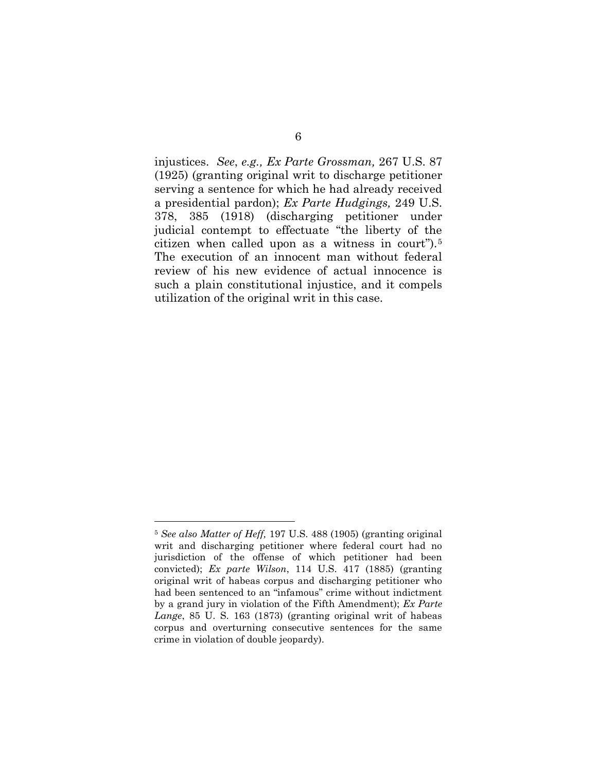injustices. *See*, *e.g., Ex Parte Grossman,* 267 U.S. 87 (1925) (granting original writ to discharge petitioner serving a sentence for which he had already received a presidential pardon); *Ex Parte Hudgings,* 249 U.S. 378, 385 (1918) (discharging petitioner under judicial contempt to effectuate "the liberty of the citizen when called upon as a witness in court").[5](#page-14-0) The execution of an innocent man without federal review of his new evidence of actual innocence is such a plain constitutional injustice, and it compels utilization of the original writ in this case.

<span id="page-14-0"></span><sup>5</sup> *See also Matter of Heff,* 197 U.S. 488 (1905) (granting original writ and discharging petitioner where federal court had no jurisdiction of the offense of which petitioner had been convicted); *Ex parte Wilson*, 114 U.S. 417 (1885) (granting original writ of habeas corpus and discharging petitioner who had been sentenced to an "infamous" crime without indictment by a grand jury in violation of the Fifth Amendment); *Ex Parte Lange*, 85 U. S. 163 (1873) (granting original writ of habeas corpus and overturning consecutive sentences for the same crime in violation of double jeopardy).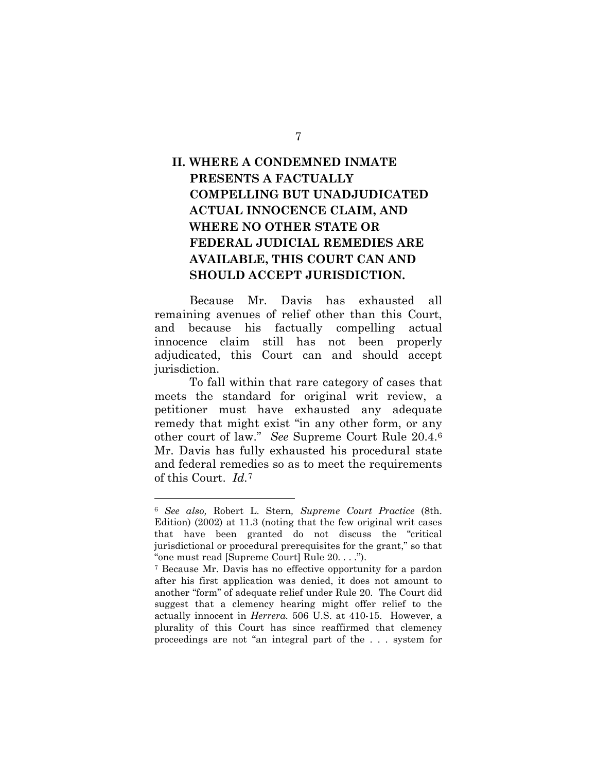# **II. WHERE A CONDEMNED INMATE PRESENTS A FACTUALLY COMPELLING BUT UNADJUDICATED ACTUAL INNOCENCE CLAIM, AND WHERE NO OTHER STATE OR FEDERAL JUDICIAL REMEDIES ARE AVAILABLE, THIS COURT CAN AND SHOULD ACCEPT JURISDICTION.**

Because Mr. Davis has exhausted all remaining avenues of relief other than this Court, and because his factually compelling actual innocence claim still has not been properly adjudicated, this Court can and should accept jurisdiction.

To fall within that rare category of cases that meets the standard for original writ review, a petitioner must have exhausted any adequate remedy that might exist "in any other form, or any other court of law." *See* Supreme Court Rule 20.4.[6](#page-15-0)  Mr. Davis has fully exhausted his procedural state and federal remedies so as to meet the requirements of this Court. *Id.*[7](#page-15-1)

<span id="page-15-0"></span><sup>6</sup> *See also,* Robert L. Stern*, Supreme Court Practice* (8th. Edition) (2002) at 11.3 (noting that the few original writ cases that have been granted do not discuss the "critical jurisdictional or procedural prerequisites for the grant," so that "one must read [Supreme Court] Rule 20. . . .").

<span id="page-15-1"></span><sup>7</sup> Because Mr. Davis has no effective opportunity for a pardon after his first application was denied, it does not amount to another "form" of adequate relief under Rule 20. The Court did suggest that a clemency hearing might offer relief to the actually innocent in *Herrera.* 506 U.S. at 410-15. However, a plurality of this Court has since reaffirmed that clemency proceedings are not "an integral part of the . . . system for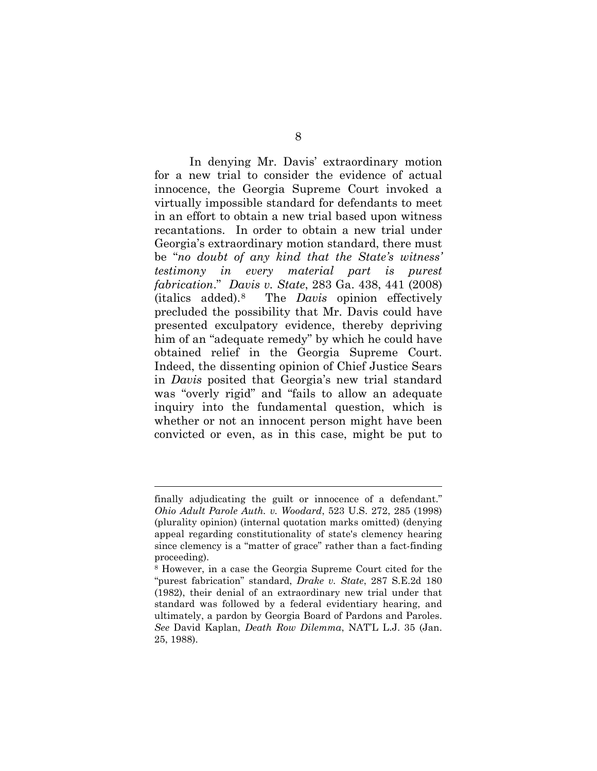In denying Mr. Davis' extraordinary motion for a new trial to consider the evidence of actual innocence, the Georgia Supreme Court invoked a virtually impossible standard for defendants to meet in an effort to obtain a new trial based upon witness recantations. In order to obtain a new trial under Georgia's extraordinary motion standard, there must be "*no doubt of any kind that the State's witness' testimony in every material part is purest fabrication*." *Davis v. State*, 283 Ga. 438, 441 (2008) (italics added).[8](#page-16-0) The *Davis* opinion effectively precluded the possibility that Mr. Davis could have presented exculpatory evidence, thereby depriving him of an "adequate remedy" by which he could have obtained relief in the Georgia Supreme Court. Indeed, the dissenting opinion of Chief Justice Sears in *Davis* posited that Georgia's new trial standard was "overly rigid" and "fails to allow an adequate inquiry into the fundamental question, which is whether or not an innocent person might have been convicted or even, as in this case, might be put to

finally adjudicating the guilt or innocence of a defendant." *Ohio Adult Parole Auth. v. Woodard*, 523 U.S. 272, 285 (1998) (plurality opinion) (internal quotation marks omitted) (denying appeal regarding constitutionality of state's clemency hearing since clemency is a "matter of grace" rather than a fact-finding proceeding).

<span id="page-16-0"></span><sup>8</sup> However, in a case the Georgia Supreme Court cited for the "purest fabrication" standard, *Drake v. State*, 287 S.E.2d 180 (1982), their denial of an extraordinary new trial under that standard was followed by a federal evidentiary hearing, and ultimately, a pardon by Georgia Board of Pardons and Paroles. *See* David Kaplan, *Death Row Dilemma*, NAT'L L.J. 35 (Jan. 25, 1988).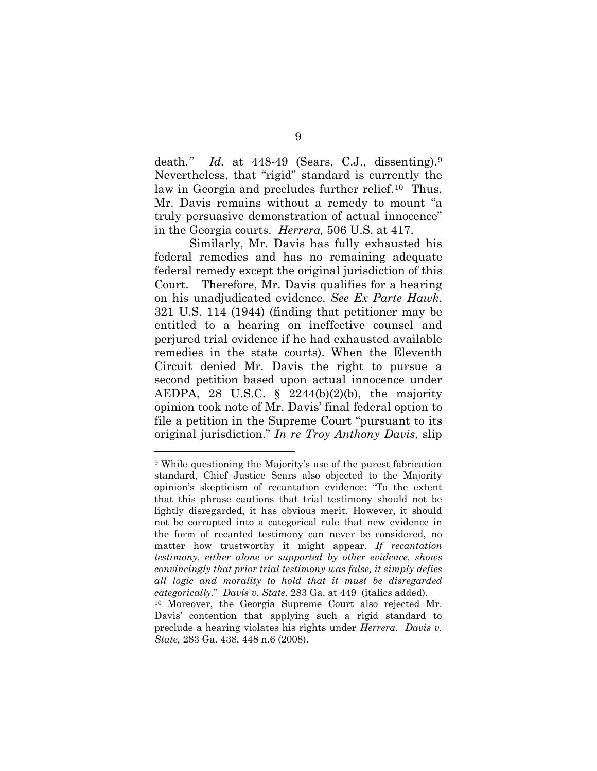death*." Id.* at 448-49 (Sears, C.J., dissenting).[9](#page-17-0)  Nevertheless, that "rigid" standard is currently the law in Georgia and precludes further relief.<sup>[10](#page-17-1)</sup> Thus, Mr. Davis remains without a remedy to mount "a truly persuasive demonstration of actual innocence" in the Georgia courts. *Herrera,* 506 U.S. at 417.

Similarly, Mr. Davis has fully exhausted his federal remedies and has no remaining adequate federal remedy except the original jurisdiction of this Court. Therefore, Mr. Davis qualifies for a hearing on his unadjudicated evidence. *See Ex Parte Hawk*, 321 U.S. 114 (1944) (finding that petitioner may be entitled to a hearing on ineffective counsel and perjured trial evidence if he had exhausted available remedies in the state courts). When the Eleventh Circuit denied Mr. Davis the right to pursue a second petition based upon actual innocence under AEDPA, 28 U.S.C.  $\S$  2244(b)(2)(b), the majority opinion took note of Mr. Davis' final federal option to file a petition in the Supreme Court "pursuant to its original jurisdiction." *In re Troy Anthony Davis*, slip

<span id="page-17-1"></span>*State,* 283 Ga. 438, 448 n.6 (2008).

<span id="page-17-0"></span><sup>9</sup> While questioning the Majority's use of the purest fabrication standard, Chief Justice Sears also objected to the Majority opinion's skepticism of recantation evidence: "To the extent that this phrase cautions that trial testimony should not be lightly disregarded, it has obvious merit. However, it should not be corrupted into a categorical rule that new evidence in the form of recanted testimony can never be considered, no matter how trustworthy it might appear. *If recantation testimony, either alone or supported by other evidence, shows convincingly that prior trial testimony was false, it simply defies all logic and morality to hold that it must be disregarded categorically*." *Davis v. State*, 283 Ga. at 449 (italics added). <sup>10</sup> Moreover, the Georgia Supreme Court also rejected Mr. Davis' contention that applying such a rigid standard to preclude a hearing violates his rights under *Herrera. Davis v.*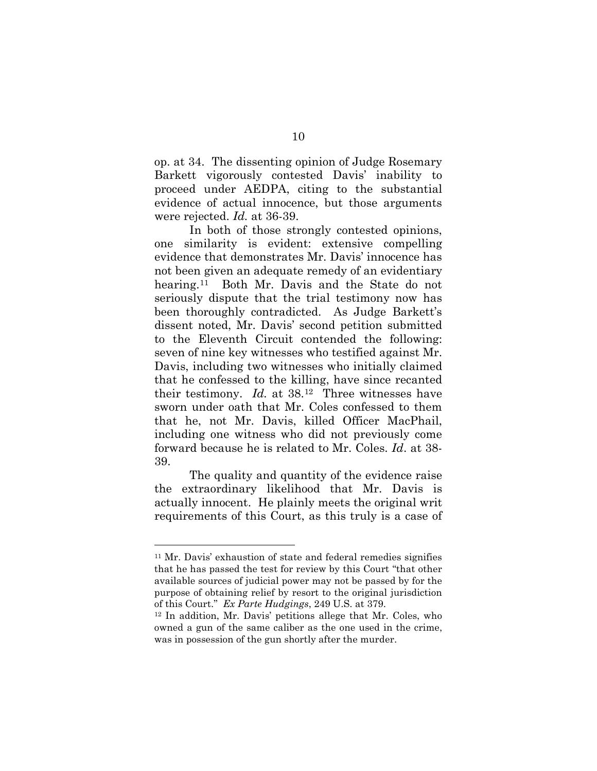op. at 34. The dissenting opinion of Judge Rosemary Barkett vigorously contested Davis' inability to proceed under AEDPA, citing to the substantial evidence of actual innocence, but those arguments were rejected. *Id.* at 36-39.

In both of those strongly contested opinions, one similarity is evident: extensive compelling evidence that demonstrates Mr. Davis' innocence has not been given an adequate remedy of an evidentiary hearing.<sup>11</sup> Both Mr. Davis and the State do not seriously dispute that the trial testimony now has been thoroughly contradicted. As Judge Barkett's dissent noted, Mr. Davis' second petition submitted to the Eleventh Circuit contended the following: seven of nine key witnesses who testified against Mr. Davis, including two witnesses who initially claimed that he confessed to the killing, have since recanted their testimony. *Id.* at 38.[12](#page-18-1) Three witnesses have sworn under oath that Mr. Coles confessed to them that he, not Mr. Davis, killed Officer MacPhail, including one witness who did not previously come forward because he is related to Mr. Coles. *Id*. at 38- 39.

The quality and quantity of the evidence raise the extraordinary likelihood that Mr. Davis is actually innocent. He plainly meets the original writ requirements of this Court, as this truly is a case of

<span id="page-18-0"></span><sup>11</sup> Mr. Davis' exhaustion of state and federal remedies signifies that he has passed the test for review by this Court "that other available sources of judicial power may not be passed by for the purpose of obtaining relief by resort to the original jurisdiction of this Court." *Ex Parte Hudgings*, 249 U.S. at 379.

<span id="page-18-1"></span><sup>12</sup> In addition, Mr. Davis' petitions allege that Mr. Coles, who owned a gun of the same caliber as the one used in the crime, was in possession of the gun shortly after the murder.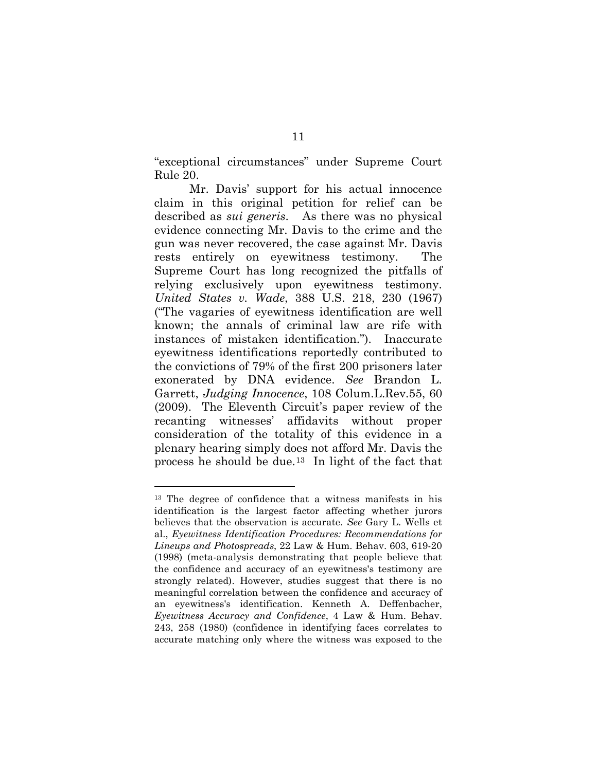"exceptional circumstances" under Supreme Court Rule 20.

Mr. Davis' support for his actual innocence claim in this original petition for relief can be described as *sui generis*. As there was no physical evidence connecting Mr. Davis to the crime and the gun was never recovered, the case against Mr. Davis rests entirely on eyewitness testimony. The Supreme Court has long recognized the pitfalls of relying exclusively upon eyewitness testimony. *United States v. Wade*, 388 U.S. 218, 230 (1967) ("The vagaries of eyewitness identification are well known; the annals of criminal law are rife with instances of mistaken identification."). Inaccurate eyewitness identifications reportedly contributed to the convictions of 79% of the first 200 prisoners later exonerated by DNA evidence. *See* Brandon L. Garrett, *Judging Innocence*, 108 Colum.L.Rev.55, 60 (2009). The Eleventh Circuit's paper review of the recanting witnesses' affidavits without proper consideration of the totality of this evidence in a plenary hearing simply does not afford Mr. Davis the process he should be due.[13](#page-19-0) In light of the fact that

<span id="page-19-0"></span><sup>13</sup> The degree of confidence that a witness manifests in his identification is the largest factor affecting whether jurors believes that the observation is accurate. *See* Gary L. Wells et al., *Eyewitness Identification Procedures: Recommendations for Lineups and Photospreads*, 22 Law & Hum. Behav. 603, 619-20 (1998) (meta-analysis demonstrating that people believe that the confidence and accuracy of an eyewitness's testimony are strongly related). However, studies suggest that there is no meaningful correlation between the confidence and accuracy of an eyewitness's identification. Kenneth A. Deffenbacher, *Eyewitness Accuracy and Confidence*, 4 Law & Hum. Behav. 243, 258 (1980) (confidence in identifying faces correlates to accurate matching only where the witness was exposed to the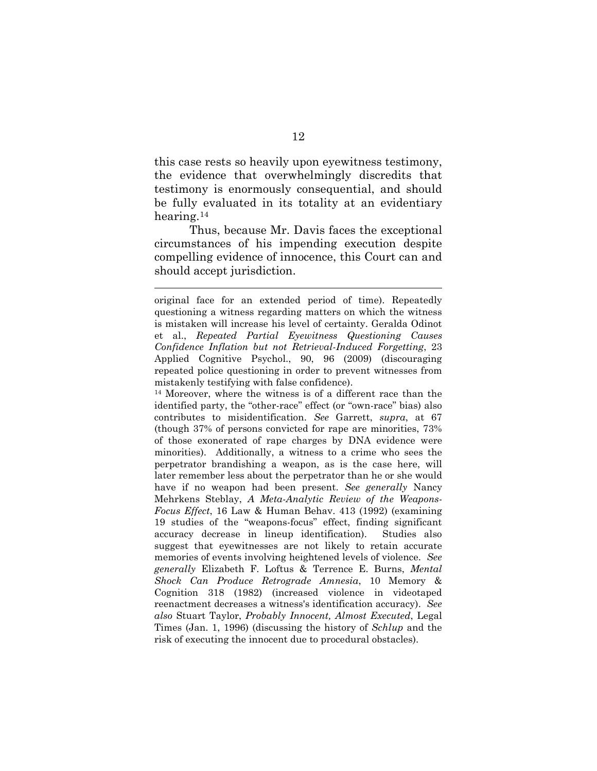this case rests so heavily upon eyewitness testimony, the evidence that overwhelmingly discredits that testimony is enormously consequential, and should be fully evaluated in its totality at an evidentiary hearing.[14](#page-20-0)

Thus, because Mr. Davis faces the exceptional circumstances of his impending execution despite compelling evidence of innocence, this Court can and should accept jurisdiction.

 $\overline{a}$ 

<span id="page-20-0"></span><sup>14</sup> Moreover, where the witness is of a different race than the identified party, the "other-race" effect (or "own-race" bias) also contributes to misidentification. *See* Garrett, *supra*, at 67 (though 37% of persons convicted for rape are minorities, 73% of those exonerated of rape charges by DNA evidence were minorities). Additionally, a witness to a crime who sees the perpetrator brandishing a weapon, as is the case here, will later remember less about the perpetrator than he or she would have if no weapon had been present. *See generally* Nancy Mehrkens Steblay, *A Meta-Analytic Review of the Weapons-Focus Effect*, 16 Law & Human Behav. 413 (1992) (examining 19 studies of the "weapons-focus" effect, finding significant accuracy decrease in lineup identification). Studies also suggest that eyewitnesses are not likely to retain accurate memories of events involving heightened levels of violence. *See generally* Elizabeth F. Loftus & Terrence E. Burns, *Mental Shock Can Produce Retrograde Amnesia*, 10 Memory & Cognition 318 (1982) (increased violence in videotaped reenactment decreases a witness's identification accuracy). *See also* Stuart Taylor, *Probably Innocent, Almost Executed*, Legal Times (Jan. 1, 1996) (discussing the history of *Schlup* and the risk of executing the innocent due to procedural obstacles).

original face for an extended period of time). Repeatedly questioning a witness regarding matters on which the witness is mistaken will increase his level of certainty. Geralda Odinot et al., *Repeated Partial Eyewitness Questioning Causes Confidence Inflation but not Retrieval-Induced Forgetting*, 23 Applied Cognitive Psychol., 90, 96 (2009) (discouraging repeated police questioning in order to prevent witnesses from mistakenly testifying with false confidence).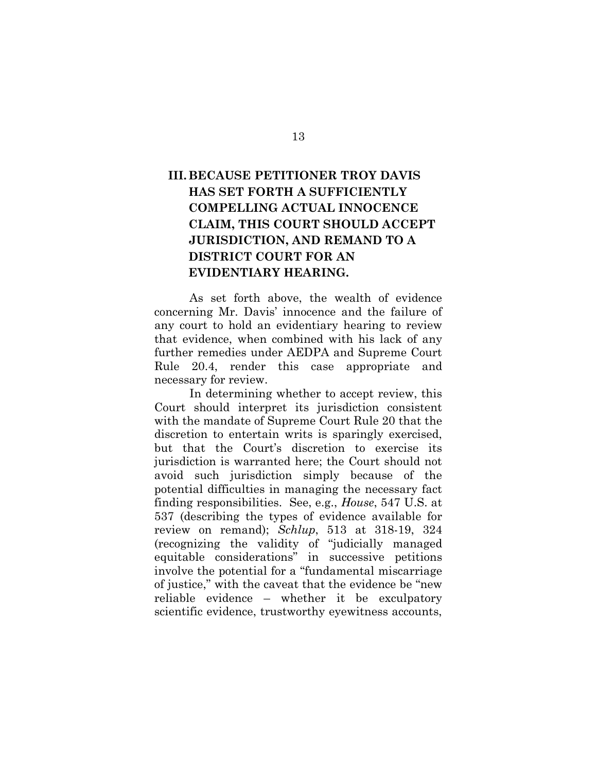# **III.BECAUSE PETITIONER TROY DAVIS HAS SET FORTH A SUFFICIENTLY COMPELLING ACTUAL INNOCENCE CLAIM, THIS COURT SHOULD ACCEPT JURISDICTION, AND REMAND TO A DISTRICT COURT FOR AN EVIDENTIARY HEARING.**

As set forth above, the wealth of evidence concerning Mr. Davis' innocence and the failure of any court to hold an evidentiary hearing to review that evidence, when combined with his lack of any further remedies under AEDPA and Supreme Court Rule 20.4, render this case appropriate and necessary for review.

In determining whether to accept review, this Court should interpret its jurisdiction consistent with the mandate of Supreme Court Rule 20 that the discretion to entertain writs is sparingly exercised, but that the Court's discretion to exercise its jurisdiction is warranted here; the Court should not avoid such jurisdiction simply because of the potential difficulties in managing the necessary fact finding responsibilities. See, e.g., *House*, 547 U.S. at 537 (describing the types of evidence available for review on remand); *Schlup*, 513 at 318-19, 324 (recognizing the validity of "judicially managed equitable considerations" in successive petitions involve the potential for a "fundamental miscarriage of justice," with the caveat that the evidence be "new reliable evidence – whether it be exculpatory scientific evidence, trustworthy eyewitness accounts,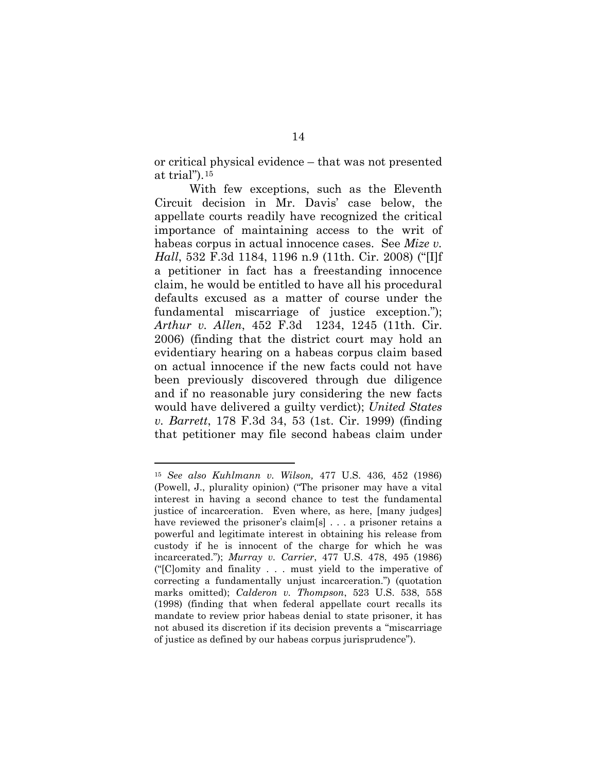or critical physical evidence – that was not presented at trial").[15](#page-22-0)

With few exceptions, such as the Eleventh Circuit decision in Mr. Davis' case below, the appellate courts readily have recognized the critical importance of maintaining access to the writ of habeas corpus in actual innocence cases. See *Mize v. Hall*, 532 F.3d 1184, 1196 n.9 (11th. Cir. 2008) ("[I]f a petitioner in fact has a freestanding innocence claim, he would be entitled to have all his procedural defaults excused as a matter of course under the fundamental miscarriage of justice exception."); *Arthur v. Allen*, 452 F.3d 1234, 1245 (11th. Cir. 2006) (finding that the district court may hold an evidentiary hearing on a habeas corpus claim based on actual innocence if the new facts could not have been previously discovered through due diligence and if no reasonable jury considering the new facts would have delivered a guilty verdict); *United States v. Barrett*, 178 F.3d 34, 53 (1st. Cir. 1999) (finding that petitioner may file second habeas claim under

<span id="page-22-0"></span><sup>15</sup> *See also Kuhlmann v. Wilson,* 477 U.S. 436, 452 (1986) (Powell, J., plurality opinion) ("The prisoner may have a vital interest in having a second chance to test the fundamental justice of incarceration. Even where, as here, [many judges] have reviewed the prisoner's claim[s] . . . a prisoner retains a powerful and legitimate interest in obtaining his release from custody if he is innocent of the charge for which he was incarcerated."); *Murray v. Carrier*, 477 U.S. 478, 495 (1986) ("[C]omity and finality . . . must yield to the imperative of correcting a fundamentally unjust incarceration.") (quotation marks omitted); *Calderon v. Thompson*, 523 U.S. 538, 558 (1998) (finding that when federal appellate court recalls its mandate to review prior habeas denial to state prisoner, it has not abused its discretion if its decision prevents a "miscarriage of justice as defined by our habeas corpus jurisprudence").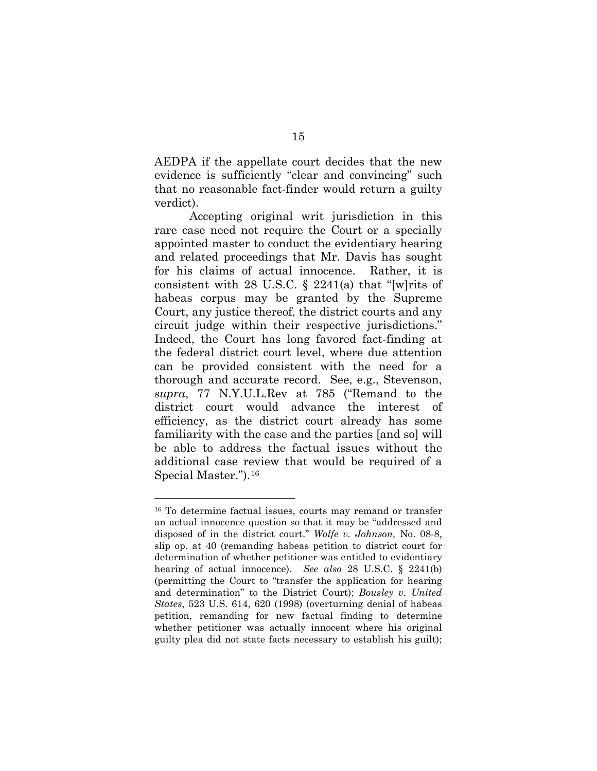AEDPA if the appellate court decides that the new evidence is sufficiently "clear and convincing" such that no reasonable fact-finder would return a guilty verdict).

Accepting original writ jurisdiction in this rare case need not require the Court or a specially appointed master to conduct the evidentiary hearing and related proceedings that Mr. Davis has sought for his claims of actual innocence. Rather, it is consistent with 28 U.S.C.  $\S$  2241(a) that "[w] rits of habeas corpus may be granted by the Supreme Court, any justice thereof, the district courts and any circuit judge within their respective jurisdictions." Indeed, the Court has long favored fact-finding at the federal district court level, where due attention can be provided consistent with the need for a thorough and accurate record. See, e.g., Stevenson, *supra*, 77 N.Y.U.L.Rev at 785 ("Remand to the district court would advance the interest of efficiency, as the district court already has some familiarity with the case and the parties [and so] will be able to address the factual issues without the additional case review that would be required of a Special Master.").[16](#page-23-0)

<span id="page-23-0"></span><sup>16</sup> To determine factual issues, courts may remand or transfer an actual innocence question so that it may be "addressed and disposed of in the district court." *Wolfe v. Johnson,* No. 08-8, slip op. at 40 (remanding habeas petition to district court for determination of whether petitioner was entitled to evidentiary hearing of actual innocence). *See also* 28 U.S.C. § 2241(b) (permitting the Court to "transfer the application for hearing and determination" to the District Court); *Bousley v. United States*, 523 U.S. 614, 620 (1998) (overturning denial of habeas petition, remanding for new factual finding to determine whether petitioner was actually innocent where his original guilty plea did not state facts necessary to establish his guilt);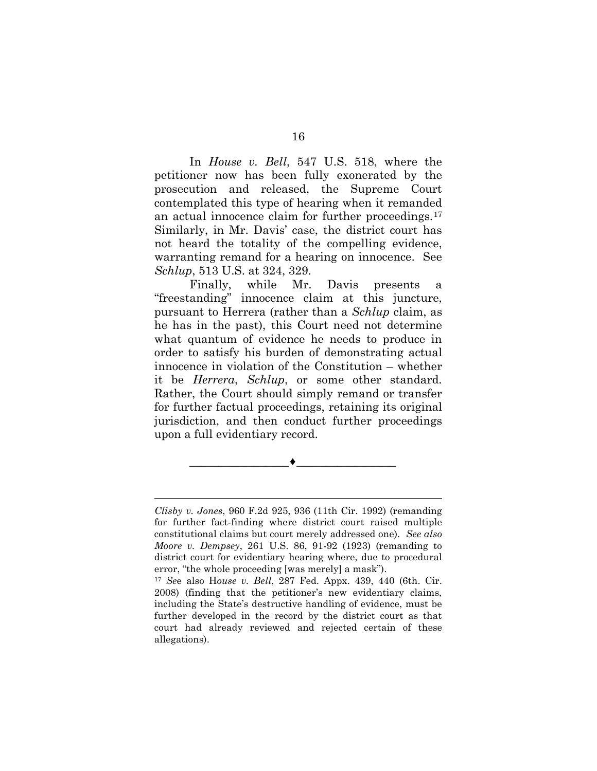In *House v. Bell*, 547 U.S. 518, where the petitioner now has been fully exonerated by the prosecution and released, the Supreme Court contemplated this type of hearing when it remanded an actual innocence claim for further proceedings.[17](#page-24-0) Similarly, in Mr. Davis' case, the district court has not heard the totality of the compelling evidence, warranting remand for a hearing on innocence. See *Schlup*, 513 U.S. at 324, 329.

Finally, while Mr. Davis presents a "freestanding" innocence claim at this juncture, pursuant to Herrera (rather than a *Schlup* claim, as he has in the past), this Court need not determine what quantum of evidence he needs to produce in order to satisfy his burden of demonstrating actual innocence in violation of the Constitution – whether it be *Herrera*, *Schlup*, or some other standard. Rather, the Court should simply remand or transfer for further factual proceedings, retaining its original jurisdiction, and then conduct further proceedings upon a full evidentiary record.

 $\overline{a}$ *Clisby v. Jones*, 960 F.2d 925, 936 (11th Cir. 1992) (remanding for further fact-finding where district court raised multiple constitutional claims but court merely addressed one). *See also Moore v. Dempsey*, 261 U.S. 86, 91-92 (1923) (remanding to district court for evidentiary hearing where, due to procedural error, "the whole proceeding [was merely] a mask").

 $\overbrace{\hspace{15em}}$  , and the set of the set of the set of the set of the set of the set of the set of the set of the set of the set of the set of the set of the set of the set of the set of the set of the set of the set of the

<span id="page-24-0"></span><sup>17</sup> *Se*e also H*ouse v. Bell*, 287 Fed. Appx. 439, 440 (6th. Cir. 2008) (finding that the petitioner's new evidentiary claims, including the State's destructive handling of evidence, must be further developed in the record by the district court as that court had already reviewed and rejected certain of these allegations).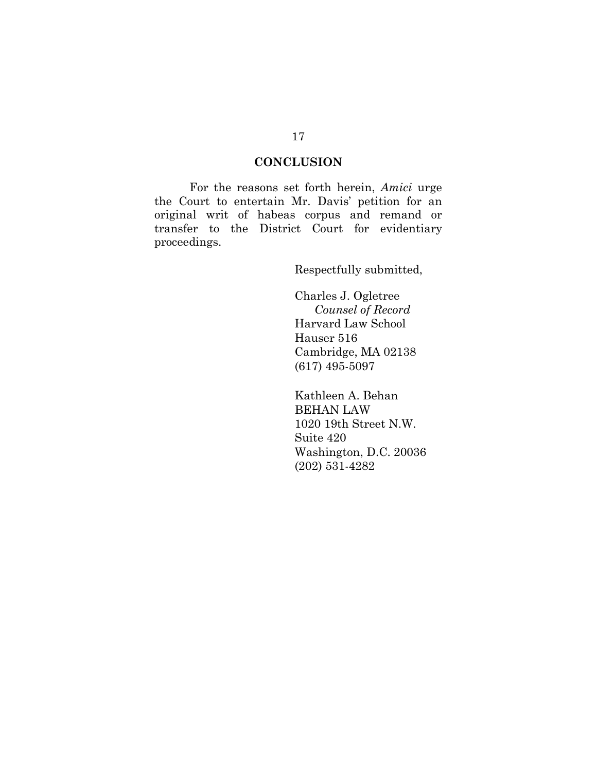# **CONCLUSION**

For the reasons set forth herein, *Amici* urge the Court to entertain Mr. Davis' petition for an original writ of habeas corpus and remand or transfer to the District Court for evidentiary proceedings.

Respectfully submitted,

Charles J. Ogletree  *Counsel of Record* Harvard Law School Hauser 516 Cambridge, MA 02138 (617) 495-5097

Kathleen A. Behan BEHAN LAW 1020 19th Street N.W. Suite 420 Washington, D.C. 20036 (202) 531-4282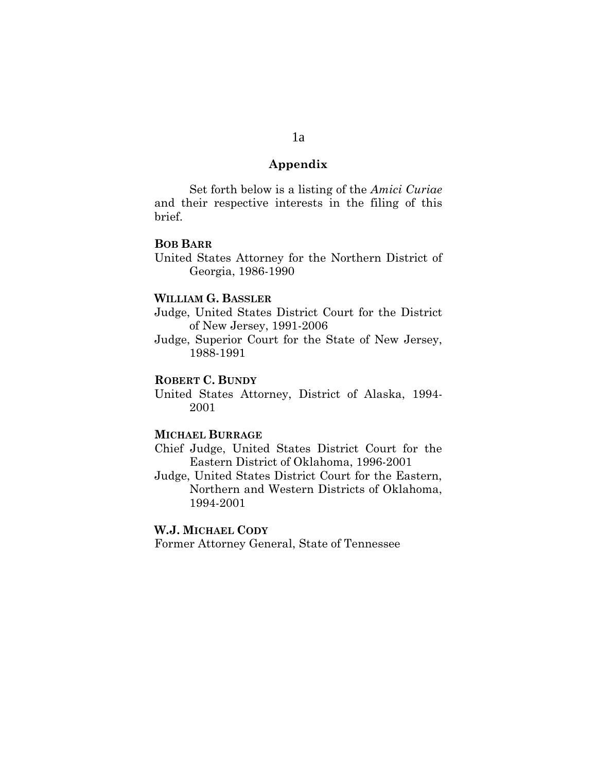#### **Appendix**

Set forth below is a listing of the *Amici Curiae* and their respective interests in the filing of this brief.

#### **BOB BARR**

United States Attorney for the Northern District of Georgia, 1986-1990

#### **WILLIAM G. BASSLER**

Judge, United States District Court for the District of New Jersey, 1991-2006

Judge, Superior Court for the State of New Jersey, 1988-1991

## **ROBERT C. BUNDY**

United States Attorney, District of Alaska, 1994- 2001

## **MICHAEL BURRAGE**

Chief Judge, United States District Court for the Eastern District of Oklahoma, 1996-2001

Judge, United States District Court for the Eastern, Northern and Western Districts of Oklahoma, 1994-2001

## **W.J. MICHAEL CODY**

Former Attorney General, State of Tennessee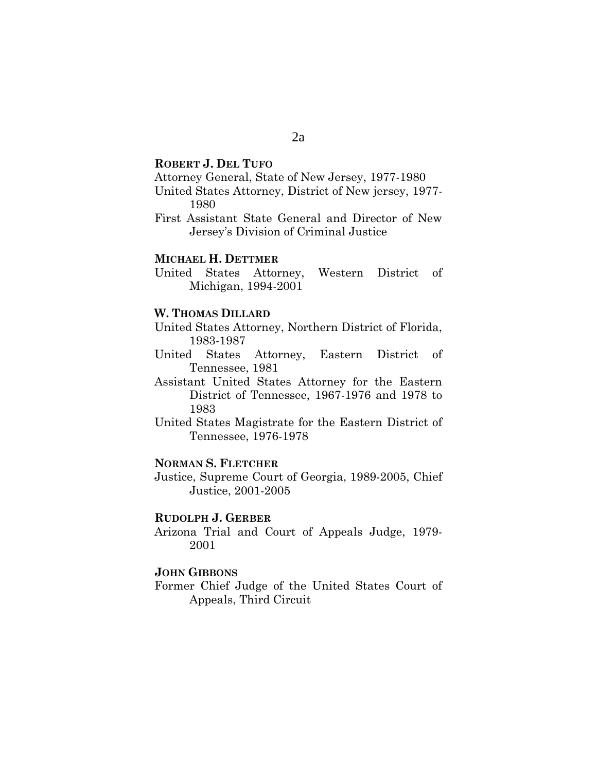### **ROBERT J. DEL TUFO**

Attorney General, State of New Jersey, 1977-1980

United States Attorney, District of New jersey, 1977- 1980

First Assistant State General and Director of New Jersey's Division of Criminal Justice

### **MICHAEL H. DETTMER**

United States Attorney, Western District of Michigan, 1994-2001

#### **W. THOMAS DILLARD**

United States Attorney, Northern District of Florida, 1983-1987

United States Attorney, Eastern District of Tennessee, 1981

Assistant United States Attorney for the Eastern District of Tennessee, 1967-1976 and 1978 to 1983

United States Magistrate for the Eastern District of Tennessee, 1976-1978

#### **NORMAN S. FLETCHER**

Justice, Supreme Court of Georgia, 1989-2005, Chief Justice, 2001-2005

#### **RUDOLPH J. GERBER**

Arizona Trial and Court of Appeals Judge, 1979- 2001

# **JOHN GIBBONS**

Former Chief Judge of the United States Court of Appeals, Third Circuit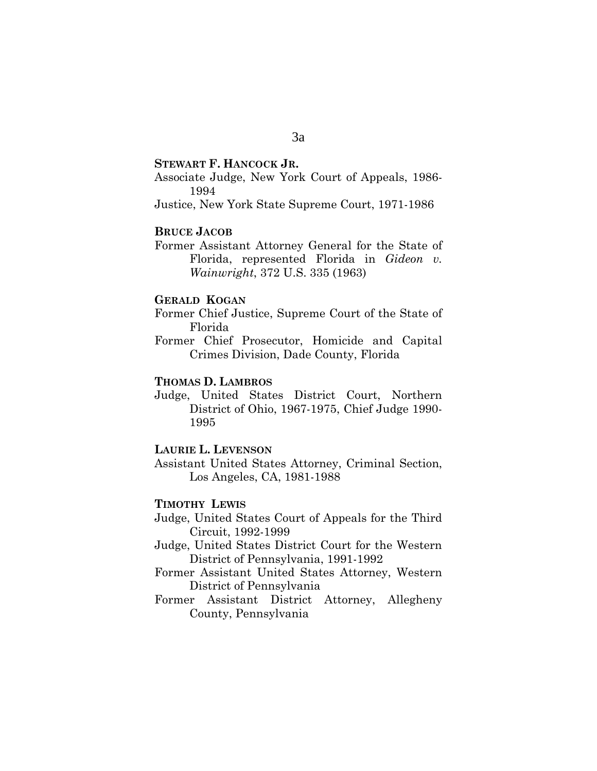**STEWART F. HANCOCK JR.**

Associate Judge, New York Court of Appeals, 1986- 1994

Justice, New York State Supreme Court, 1971-1986

# **BRUCE JACOB**

Former Assistant Attorney General for the State of Florida, represented Florida in *Gideon v. Wainwright*, 372 U.S. 335 (1963)

# **GERALD KOGAN**

Former Chief Justice, Supreme Court of the State of Florida

Former Chief Prosecutor, Homicide and Capital Crimes Division, Dade County, Florida

# **THOMAS D. LAMBROS**

Judge, United States District Court, Northern District of Ohio, 1967-1975, Chief Judge 1990- 1995

### **LAURIE L. LEVENSON**

Assistant United States Attorney, Criminal Section, Los Angeles, CA, 1981-1988

## **TIMOTHY LEWIS**

- Judge, United States Court of Appeals for the Third Circuit, 1992-1999
- Judge, United States District Court for the Western District of Pennsylvania, 1991-1992
- Former Assistant United States Attorney, Western District of Pennsylvania
- Former Assistant District Attorney, Allegheny County, Pennsylvania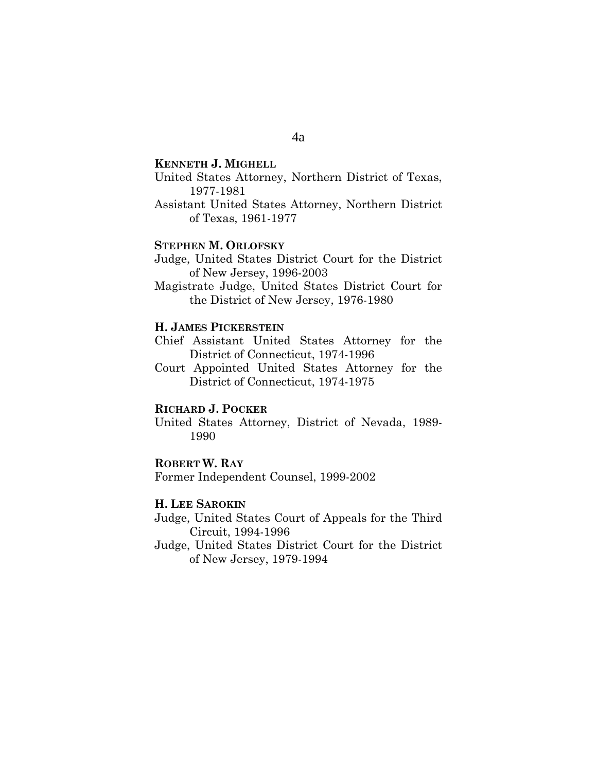#### **KENNETH J. MIGHELL**

- United States Attorney, Northern District of Texas, 1977-1981
- Assistant United States Attorney, Northern District of Texas, 1961-1977

#### **STEPHEN M. ORLOFSKY**

- Judge, United States District Court for the District of New Jersey, 1996-2003
- Magistrate Judge, United States District Court for the District of New Jersey, 1976-1980

#### **H. JAMES PICKERSTEIN**

Chief Assistant United States Attorney for the District of Connecticut, 1974-1996

Court Appointed United States Attorney for the District of Connecticut, 1974-1975

#### **RICHARD J. POCKER**

United States Attorney, District of Nevada, 1989- 1990

#### **ROBERT W. RAY**

Former Independent Counsel, 1999-2002

#### **H. LEE SAROKIN**

Judge, United States Court of Appeals for the Third Circuit, 1994-1996

Judge, United States District Court for the District of New Jersey, 1979-1994